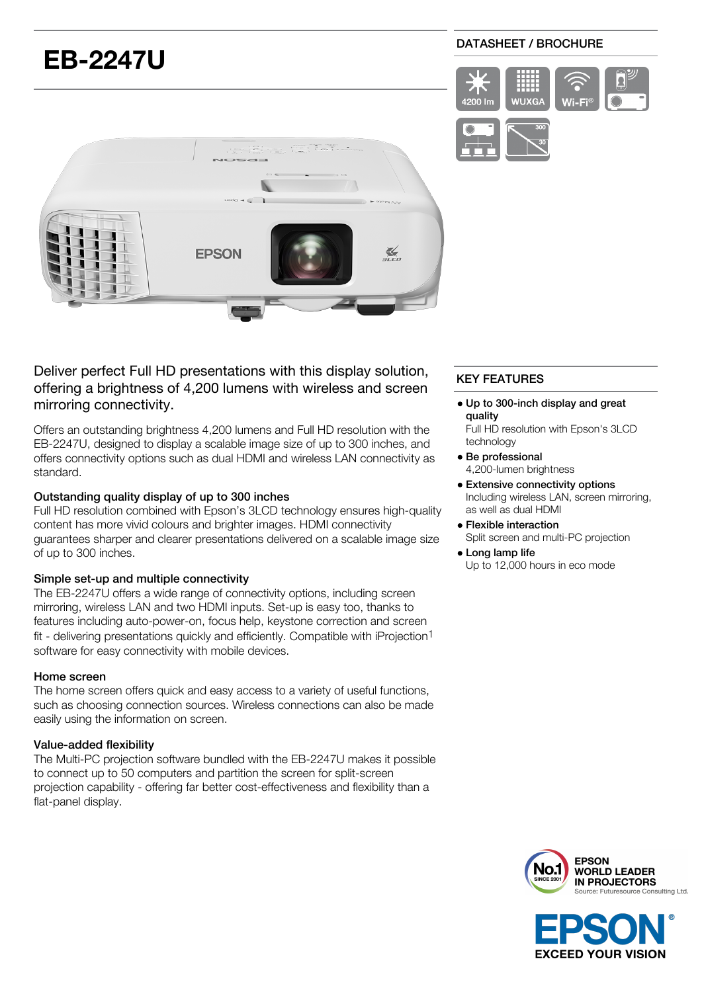# **EB-2247U**

## DATASHEET / BROCHURE





# Deliver perfect Full HD presentations with this display solution, offering a brightness of 4,200 lumens with wireless and screen mirroring connectivity.

Offers an outstanding brightness 4,200 lumens and Full HD resolution with the EB-2247U, designed to display a scalable image size of up to 300 inches, and offers connectivity options such as dual HDMI and wireless LAN connectivity as standard.

# Outstanding quality display of up to 300 inches

Full HD resolution combined with Epson's 3LCD technology ensures high-quality content has more vivid colours and brighter images. HDMI connectivity guarantees sharper and clearer presentations delivered on a scalable image size of up to 300 inches.

#### Simple set-up and multiple connectivity

The EB-2247U offers a wide range of connectivity options, including screen mirroring, wireless LAN and two HDMI inputs. Set-up is easy too, thanks to features including auto-power-on, focus help, keystone correction and screen fit - delivering presentations quickly and efficiently. Compatible with iProjection1 software for easy connectivity with mobile devices.

#### Home screen

The home screen offers quick and easy access to a variety of useful functions, such as choosing connection sources. Wireless connections can also be made easily using the information on screen.

## Value-added flexibility

The Multi-PC projection software bundled with the EB-2247U makes it possible to connect up to 50 computers and partition the screen for split-screen projection capability - offering far better cost-effectiveness and flexibility than a flat-panel display.

# KEY FEATURES

- Up to 300-inch display and great quality
	- Full HD resolution with Epson's 3LCD technology
- Be professional 4,200-lumen brightness
- Extensive connectivity options Including wireless LAN, screen mirroring, as well as dual HDMI
- Flexible interaction Split screen and multi-PC projection
- Long lamp life Up to 12,000 hours in eco mode



**EXCEED YOUR VISION**